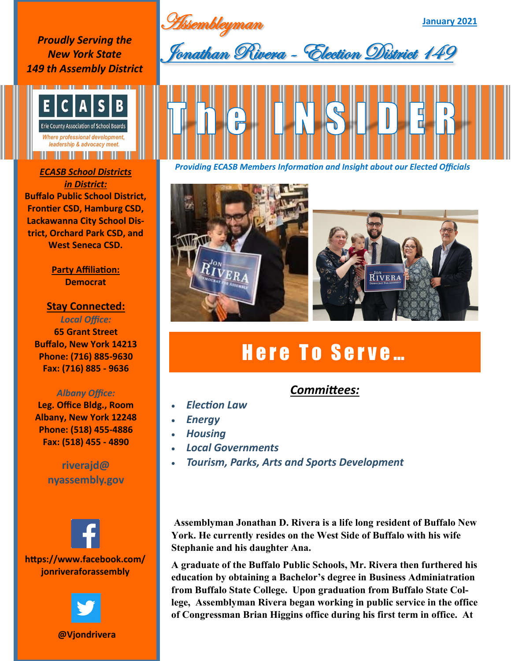Assembleyman

**January 2021**

*Proudly Serving the New York State 149 th Assembly District*



*in District:* **Buffalo Public School District, Frontier CSD, Hamburg CSD, Lackawanna City School District, Orchard Park CSD, and West Seneca CSD.**

> **Party Affiliation: Democrat**

### **Stay Connected:**

*Local Office:* **65 Grant Street Buffalo, New York 14213 Phone: (716) 885-9630 Fax: (716) 885 - 9636**

### *Albany Office:*

**Leg. Office Bldg., Room Albany, New York 12248 Phone: (518) 455-4886 Fax: (518) 455 - 4890**

## **riverajd@ nyassembly.gov**



**@Vjondrivera**



*Providing ECASB Members Information and Insight about our Elected Officials ECASB School Districts* 



# Here To Serve...

## *Committees:*

- *Election Law*
- *Energy*
- *Housing*
- *Local Governments*
- *Tourism, Parks, Arts and Sports Development*

**Assemblyman Jonathan D. Rivera is a life long resident of Buffalo New York. He currently resides on the West Side of Buffalo with his wife Stephanie and his daughter Ana.** 

**A graduate of the Buffalo Public Schools, Mr. Rivera then furthered his education by obtaining a Bachelor's degree in Business Adminiatration from Buffalo State College. Upon graduation from Buffalo State College, Assemblyman Rivera began working in public service in the office of Congressman Brian Higgins office during his first term in office. At**